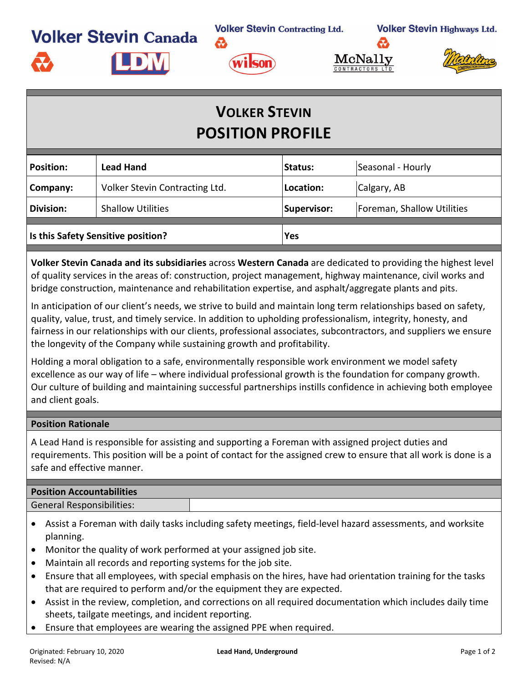**Volker Stevin Canada** 

**Volker Stevin Contracting Ltd.** 

**Volker Stevin Highways Ltd.** 









## **VOLKER STEVIN POSITION PROFILE**

wilson

æ.

| <b>Lead Hand</b>                   | Status:     | Seasonal - Hourly          |  |
|------------------------------------|-------------|----------------------------|--|
| Volker Stevin Contracting Ltd.     | Location:   | Calgary, AB                |  |
| <b>Shallow Utilities</b>           | Supervisor: | Foreman, Shallow Utilities |  |
| Is this Safety Sensitive position? |             |                            |  |
|                                    |             | Yes                        |  |

**Volker Stevin Canada and its subsidiaries** across **Western Canada** are dedicated to providing the highest level of quality services in the areas of: construction, project management, highway maintenance, civil works and bridge construction, maintenance and rehabilitation expertise, and asphalt/aggregate plants and pits.

In anticipation of our client's needs, we strive to build and maintain long term relationships based on safety, quality, value, trust, and timely service. In addition to upholding professionalism, integrity, honesty, and fairness in our relationships with our clients, professional associates, subcontractors, and suppliers we ensure the longevity of the Company while sustaining growth and profitability.

Holding a moral obligation to a safe, environmentally responsible work environment we model safety excellence as our way of life – where individual professional growth is the foundation for company growth. Our culture of building and maintaining successful partnerships instills confidence in achieving both employee and client goals.

## **Position Rationale**

A Lead Hand is responsible for assisting and supporting a Foreman with assigned project duties and requirements. This position will be a point of contact for the assigned crew to ensure that all work is done is a safe and effective manner.

## **Position Accountabilities**

General Responsibilities:

- Assist a Foreman with daily tasks including safety meetings, field-level hazard assessments, and worksite planning.
- Monitor the quality of work performed at your assigned job site.
- Maintain all records and reporting systems for the job site.
- Ensure that all employees, with special emphasis on the hires, have had orientation training for the tasks that are required to perform and/or the equipment they are expected.
- Assist in the review, completion, and corrections on all required documentation which includes daily time sheets, tailgate meetings, and incident reporting.
- Ensure that employees are wearing the assigned PPE when required.